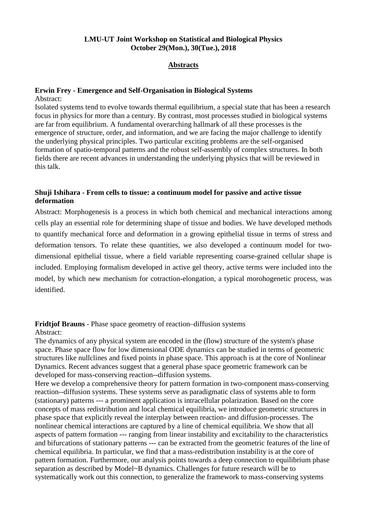## **LMU-UT Joint Workshop on Statistical and Biological Physics October 29(Mon.), 30(Tue.), 2018**

#### **Abstracts**

#### **Erwin Frey - Emergence and Self-Organisation in Biological Systems**

Abstract:

Isolated systems tend to evolve towards thermal equilibrium, a special state that has been a research focus in physics for more than a century. By contrast, most processes studied in biological systems are far from equilibrium. A fundamental overarching hallmark of all these processes is the emergence of structure, order, and information, and we are facing the major challenge to identify the underlying physical principles. Two particular exciting problems are the self-organised formation of spatio-temporal patterns and the robust self-assembly of complex structures. In both fields there are recent advances in understanding the underlying physics that will be reviewed in this talk.

## **Shuji Ishihara - From cells to tissue: a continuum model for passive and active tissue deformation**

Abstract: Morphogenesis is a process in which both chemical and mechanical interactions among cells play an essential role for determining shape of tissue and bodies. We have developed methods to quantify mechanical force and deformation in a growing epithelial tissue in terms of stress and deformation tensors. To relate these quantities, we also developed a continuum model for twodimensional epithelial tissue, where a field variable representing coarse-grained cellular shape is included. Employing formalism developed in active gel theory, active terms were included into the model, by which new mechanism for cotraction-elongation, a typical morohogenetic process, was identified.

# **Fridtjof Brauns** - Phase space geometry of reaction–diffusion systems

#### Abstract:

The dynamics of any physical system are encoded in the (flow) structure of the system's phase space. Phase space flow for low dimensional ODE dynamics can be studied in terms of geometric structures like nullclines and fixed points in phase space. This approach is at the core of Nonlinear Dynamics. Recent advances suggest that a general phase space geometric framework can be developed for mass-conserving reaction--diffusion systems.

Here we develop a comprehensive theory for pattern formation in two-component mass-conserving reaction--diffusion systems. These systems serve as paradigmatic class of systems able to form (stationary) patterns --- a prominent application is intracellular polarization. Based on the core concepts of mass redistribution and local chemical equilibria, we introduce geometric structures in phase space that explicitly reveal the interplay between reaction- and diffusion-processes. The nonlinear chemical interactions are captured by a line of chemical equilibria. We show that all aspects of pattern formation --- ranging from linear instability and excitability to the characteristics and bifurcations of stationary patterns --- can be extracted from the geometric features of the line of chemical equilibria. In particular, we find that a mass-redistribution instability is at the core of pattern formation. Furthermore, our analysis points towards a deep connection to equilibrium phase separation as described by Model~B dynamics. Challenges for future research will be to systematically work out this connection, to generalize the framework to mass-conserving systems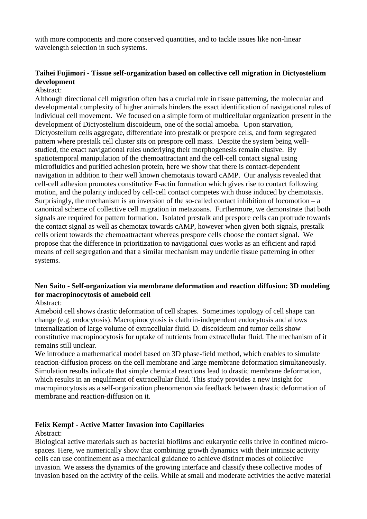with more components and more conserved quantities, and to tackle issues like non-linear wavelength selection in such systems.

# **Taihei Fujimori - Tissue self-organization based on collective cell migration in Dictyostelium development**

#### Abstract:

Although directional cell migration often has a crucial role in tissue patterning, the molecular and developmental complexity of higher animals hinders the exact identification of navigational rules of individual cell movement. We focused on a simple form of multicellular organization present in the development of Dictyostelium discoideum, one of the social amoeba. Upon starvation, Dictyostelium cells aggregate, differentiate into prestalk or prespore cells, and form segregated pattern where prestalk cell cluster sits on prespore cell mass. Despite the system being wellstudied, the exact navigational rules underlying their morphogenesis remain elusive. By spatiotemporal manipulation of the chemoattractant and the cell-cell contact signal using microfluidics and purified adhesion protein, here we show that there is contact-dependent navigation in addition to their well known chemotaxis toward cAMP. Our analysis revealed that cell-cell adhesion promotes constitutive F-actin formation which gives rise to contact following motion, and the polarity induced by cell-cell contact competes with those induced by chemotaxis. Surprisingly, the mechanism is an inversion of the so-called contact inhibition of locomotion  $-a$ canonical scheme of collective cell migration in metazoans. Furthermore, we demonstrate that both signals are required for pattern formation. Isolated prestalk and prespore cells can protrude towards the contact signal as well as chemotax towards cAMP, however when given both signals, prestalk cells orient towards the chemoattractant whereas prespore cells choose the contact signal. We propose that the difference in prioritization to navigational cues works as an efficient and rapid means of cell segregation and that a similar mechanism may underlie tissue patterning in other systems.

# **Nen Saito - Self-organization via membrane deformation and reaction diffusion: 3D modeling for macropinocytosis of ameboid cell**

Abstract:

Ameboid cell shows drastic deformation of cell shapes. Sometimes topology of cell shape can change (e.g. endocytosis). Macropinocytosis is clathrin-independent endocytosis and allows internalization of large volume of extracellular fluid. D. discoideum and tumor cells show constitutive macropinocytosis for uptake of nutrients from extracellular fluid. The mechanism of it remains still unclear.

We introduce a mathematical model based on 3D phase-field method, which enables to simulate reaction-diffusion process on the cell membrane and large membrane deformation simultaneously. Simulation results indicate that simple chemical reactions lead to drastic membrane deformation, which results in an engulfment of extracellular fluid. This study provides a new insight for macropinocytosis as a self-organization phenomenon via feedback between drastic deformation of membrane and reaction-diffusion on it.

## **Felix Kempf - Active Matter Invasion into Capillaries**

Abstract:

Biological active materials such as bacterial biofilms and eukaryotic cells thrive in confined microspaces. Here, we numerically show that combining growth dynamics with their intrinsic activity cells can use confinement as a mechanical guidance to achieve distinct modes of collective invasion. We assess the dynamics of the growing interface and classify these collective modes of invasion based on the activity of the cells. While at small and moderate activities the active material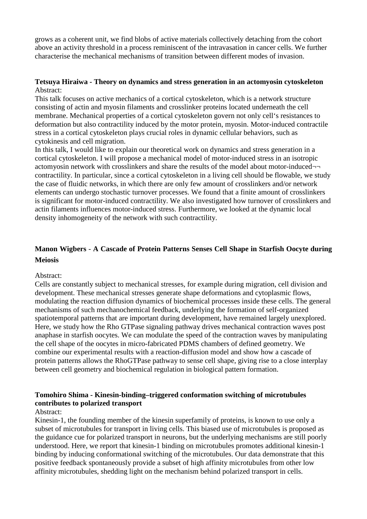grows as a coherent unit, we find blobs of active materials collectively detaching from the cohort above an activity threshold in a process reminiscent of the intravasation in cancer cells. We further characterise the mechanical mechanisms of transition between different modes of invasion.

#### **Tetsuya Hiraiwa - Theory on dynamics and stress generation in an actomyosin cytoskeleton** Abstract:

This talk focuses on active mechanics of a cortical cytoskeleton, which is a network structure consisting of actin and myosin filaments and crosslinker proteins located underneath the cell membrane. Mechanical properties of a cortical cytoskeleton govern not only cell's resistances to deformation but also contractility induced by the motor protein, myosin. Motor-induced contractile stress in a cortical cytoskeleton plays crucial roles in dynamic cellular behaviors, such as cytokinesis and cell migration.

In this talk, I would like to explain our theoretical work on dynamics and stress generation in a cortical cytoskeleton. I will propose a mechanical model of motor-induced stress in an isotropic actomyosin network with crosslinkers and share the results of the model about motor-induced¬ contractility. In particular, since a cortical cytoskeleton in a living cell should be flowable, we study the case of fluidic networks, in which there are only few amount of crosslinkers and/or network elements can undergo stochastic turnover processes. We found that a finite amount of crosslinkers is significant for motor-induced contractility. We also investigated how turnover of crosslinkers and actin filaments influences motor-induced stress. Furthermore, we looked at the dynamic local density inhomogeneity of the network with such contractility.

# **Manon Wigbers** - **A Cascade of Protein Patterns Senses Cell Shape in Starfish Oocyte during Meiosis**

#### Abstract:

Cells are constantly subject to mechanical stresses, for example during migration, cell division and development. These mechanical stresses generate shape deformations and cytoplasmic flows, modulating the reaction diffusion dynamics of biochemical processes inside these cells. The general mechanisms of such mechanochemical feedback, underlying the formation of self-organized spatiotemporal patterns that are important during development, have remained largely unexplored. Here, we study how the Rho GTPase signaling pathway drives mechanical contraction waves post anaphase in starfish oocytes. We can modulate the speed of the contraction waves by manipulating the cell shape of the oocytes in micro-fabricated PDMS chambers of defined geometry. We combine our experimental results with a reaction-diffusion model and show how a cascade of protein patterns allows the RhoGTPase pathway to sense cell shape, giving rise to a close interplay between cell geometry and biochemical regulation in biological pattern formation.

#### **Tomohiro Shima - Kinesin-binding–triggered conformation switching of microtubules contributes to polarized transport**

#### Abstract:

Kinesin-1, the founding member of the kinesin superfamily of proteins, is known to use only a subset of microtubules for transport in living cells. This biased use of microtubules is proposed as the guidance cue for polarized transport in neurons, but the underlying mechanisms are still poorly understood. Here, we report that kinesin-1 binding on microtubules promotes additional kinesin-1 binding by inducing conformational switching of the microtubules. Our data demonstrate that this positive feedback spontaneously provide a subset of high affinity microtubules from other low affinity microtubules, shedding light on the mechanism behind polarized transport in cells.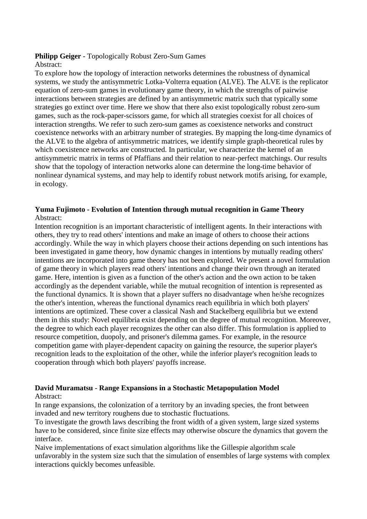# **Philipp Geiger** - Topologically Robust Zero-Sum Games

### Abstract:

To explore how the topology of interaction networks determines the robustness of dynamical systems, we study the antisymmetric Lotka-Volterra equation (ALVE). The ALVE is the replicator equation of zero-sum games in evolutionary game theory, in which the strengths of pairwise interactions between strategies are defined by an antisymmetric matrix such that typically some strategies go extinct over time. Here we show that there also exist topologically robust zero-sum games, such as the rock-paper-scissors game, for which all strategies coexist for all choices of interaction strengths. We refer to such zero-sum games as coexistence networks and construct coexistence networks with an arbitrary number of strategies. By mapping the long-time dynamics of the ALVE to the algebra of antisymmetric matrices, we identify simple graph-theoretical rules by which coexistence networks are constructed. In particular, we characterize the kernel of an antisymmetric matrix in terms of Pfaffians and their relation to near-perfect matchings. Our results show that the topology of interaction networks alone can determine the long-time behavior of nonlinear dynamical systems, and may help to identify robust network motifs arising, for example, in ecology.

## **Yuma Fujimoto - Evolution of Intention through mutual recognition in Game Theory** Abstract:

Intention recognition is an important characteristic of intelligent agents. In their interactions with others, they try to read others' intentions and make an image of others to choose their actions accordingly. While the way in which players choose their actions depending on such intentions has been investigated in game theory, how dynamic changes in intentions by mutually reading others' intentions are incorporated into game theory has not been explored. We present a novel formulation of game theory in which players read others' intentions and change their own through an iterated game. Here, intention is given as a function of the other's action and the own action to be taken accordingly as the dependent variable, while the mutual recognition of intention is represented as the functional dynamics. It is shown that a player suffers no disadvantage when he/she recognizes the other's intention, whereas the functional dynamics reach equilibria in which both players' intentions are optimized. These cover a classical Nash and Stackelberg equilibria but we extend them in this study: Novel equilibria exist depending on the degree of mutual recognition. Moreover, the degree to which each player recognizes the other can also differ. This formulation is applied to resource competition, duopoly, and prisoner's dilemma games. For example, in the resource competition game with player-dependent capacity on gaining the resource, the superior player's recognition leads to the exploitation of the other, while the inferior player's recognition leads to cooperation through which both players' payoffs increase.

# **David Muramatsu** - **Range Expansions in a Stochastic Metapopulation Model**

#### Abstract:

In range expansions, the colonization of a territory by an invading species, the front between invaded and new territory roughens due to stochastic fluctuations.

To investigate the growth laws describing the front width of a given system, large sized systems have to be considered, since finite size effects may otherwise obscure the dynamics that govern the interface.

Naive implementations of exact simulation algorithms like the Gillespie algorithm scale unfavorably in the system size such that the simulation of ensembles of large systems with complex interactions quickly becomes unfeasible.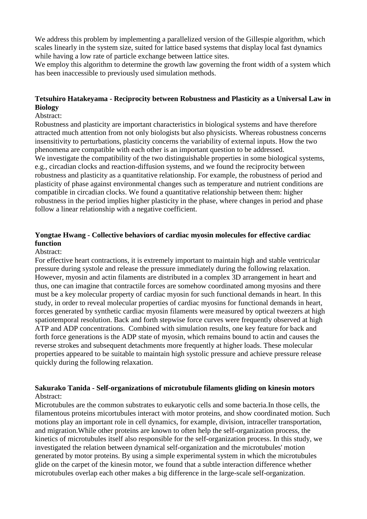We address this problem by implementing a parallelized version of the Gillespie algorithm, which scales linearly in the system size, suited for lattice based systems that display local fast dynamics while having a low rate of particle exchange between lattice sites.

We employ this algorithm to determine the growth law governing the front width of a system which has been inaccessible to previously used simulation methods.

# **Tetsuhiro Hatakeyama - Reciprocity between Robustness and Plasticity as a Universal Law in Biology**

#### Abstract:

Robustness and plasticity are important characteristics in biological systems and have therefore attracted much attention from not only biologists but also physicists. Whereas robustness concerns insensitivity to perturbations, plasticity concerns the variability of external inputs. How the two phenomena are compatible with each other is an important question to be addressed. We investigate the compatibility of the two distinguishable properties in some biological systems, e.g., circadian clocks and reaction-diffusion systems, and we found the reciprocity between robustness and plasticity as a quantitative relationship. For example, the robustness of period and plasticity of phase against environmental changes such as temperature and nutrient conditions are compatible in circadian clocks. We found a quantitative relationship between them: higher robustness in the period implies higher plasticity in the phase, where changes in period and phase follow a linear relationship with a negative coefficient.

### **Yongtae Hwang - Collective behaviors of cardiac myosin molecules for effective cardiac function**

#### Abstract:

For effective heart contractions, it is extremely important to maintain high and stable ventricular pressure during systole and release the pressure immediately during the following relaxation. However, myosin and actin filaments are distributed in a complex 3D arrangement in heart and thus, one can imagine that contractile forces are somehow coordinated among myosins and there must be a key molecular property of cardiac myosin for such functional demands in heart. In this study, in order to reveal molecular properties of cardiac myosins for functional demands in heart, forces generated by synthetic cardiac myosin filaments were measured by optical tweezers at high spatiotemporal resolution. Back and forth stepwise force curves were frequently observed at high ATP and ADP concentrations. Combined with simulation results, one key feature for back and forth force generations is the ADP state of myosin, which remains bound to actin and causes the reverse strokes and subsequent detachments more frequently at higher loads. These molecular properties appeared to be suitable to maintain high systolic pressure and achieve pressure release quickly during the following relaxation.

#### **Sakurako Tanida - Self-organizations of microtubule filaments gliding on kinesin motors** Abstract:

Microtubules are the common substrates to eukaryotic cells and some bacteria.In those cells, the filamentous proteins micortubules interact with motor proteins, and show coordinated motion. Such motions play an important role in cell dynamics, for example, division, intraceller transportation, and migration.While other proteins are known to often help the self-organization process, the kinetics of microtubules itself also responsible for the self-organization process. In this study, we investigated the relation between dynamical self-organization and the microtubules' motion generated by motor proteins. By using a simple experimental system in which the microtubules glide on the carpet of the kinesin motor, we found that a subtle interaction difference whether microtubules overlap each other makes a big difference in the large-scale self-organization.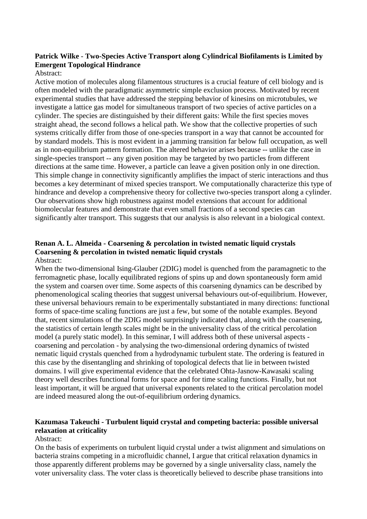# **Patrick Wilke** - **Two-Species Active Transport along Cylindrical Biofilaments is Limited by Emergent Topological Hindrance**

#### Abstract:

Active motion of molecules along filamentous structures is a crucial feature of cell biology and is often modeled with the paradigmatic asymmetric simple exclusion process. Motivated by recent experimental studies that have addressed the stepping behavior of kinesins on microtubules, we investigate a lattice gas model for simultaneous transport of two species of active particles on a cylinder. The species are distinguished by their different gaits: While the first species moves straight ahead, the second follows a helical path. We show that the collective properties of such systems critically differ from those of one-species transport in a way that cannot be accounted for by standard models. This is most evident in a jamming transition far below full occupation, as well as in non-equilibrium pattern formation. The altered behavior arises because -- unlike the case in single-species transport -- any given position may be targeted by two particles from different directions at the same time. However, a particle can leave a given position only in one direction. This simple change in connectivity significantly amplifies the impact of steric interactions and thus becomes a key determinant of mixed species transport. We computationally characterize this type of hindrance and develop a comprehensive theory for collective two-species transport along a cylinder. Our observations show high robustness against model extensions that account for additional biomolecular features and demonstrate that even small fractions of a second species can significantly alter transport. This suggests that our analysis is also relevant in a biological context.

#### **Renan A. L. Almeida - Coarsening & percolation in twisted nematic liquid crystals Coarsening & percolation in twisted nematic liquid crystals** Abstract:

When the two-dimensional Ising-Glauber (2DIG) model is quenched from the paramagnetic to the ferromagnetic phase, locally equilibrated regions of spins up and down spontaneously form amid the system and coarsen over time. Some aspects of this coarsening dynamics can be described by phenomenological scaling theories that suggest universal behaviours out-of-equilibrium. However, these universal behaviours remain to be experimentally substantiated in many directions: functional forms of space-time scaling functions are just a few, but some of the notable examples. Beyond that, recent simulations of the 2DIG model surprisingly indicated that, along with the coarsening, the statistics of certain length scales might be in the universality class of the critical percolation model (a purely static model). In this seminar, I will address both of these universal aspects coarsening and percolation - by analysing the two-dimensional ordering dynamics of twisted nematic liquid crystals quenched from a hydrodynamic turbulent state. The ordering is featured in this case by the disentangling and shrinking of topological defects that lie in between twisted domains. I will give experimental evidence that the celebrated Ohta-Jasnow-Kawasaki scaling theory well describes functional forms for space and for time scaling functions. Finally, but not least important, it will be argued that universal exponents related to the critical percolation model are indeed measured along the out-of-equilibrium ordering dynamics.

# **Kazumasa Takeuchi - Turbulent liquid crystal and competing bacteria: possible universal relaxation at criticality**

#### Abstract:

On the basis of experiments on turbulent liquid crystal under a twist alignment and simulations on bacteria strains competing in a microfluidic channel, I argue that critical relaxation dynamics in those apparently different problems may be governed by a single universality class, namely the voter universality class. The voter class is theoretically believed to describe phase transitions into